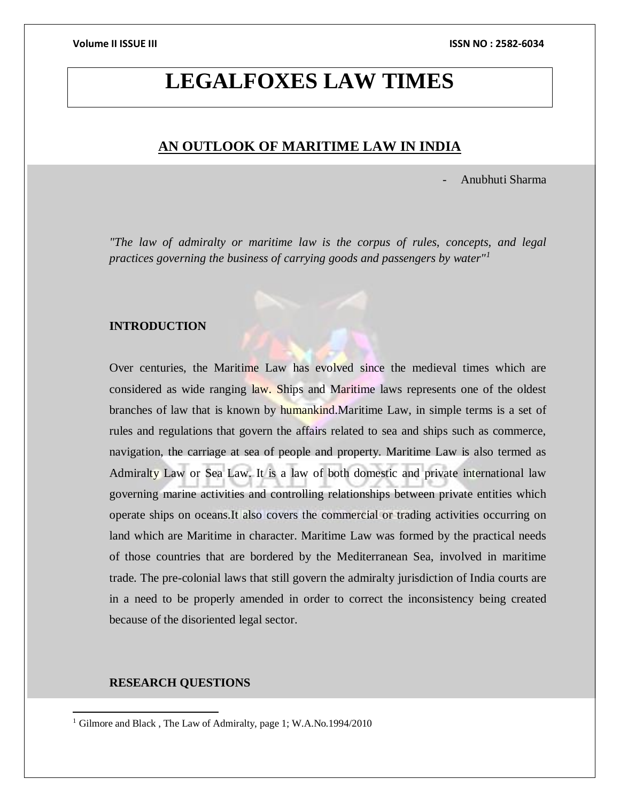# **LEGALFOXES LAW TIMES**

# **AN OUTLOOK OF MARITIME LAW IN INDIA**

- Anubhuti Sharma

*"The law of admiralty or maritime law is the corpus of rules, concepts, and legal practices governing the business of carrying goods and passengers by water"<sup>1</sup>*

# **INTRODUCTION**

Over centuries, the Maritime Law has evolved since the medieval times which are considered as wide ranging law. Ships and Maritime laws represents one of the oldest branches of law that is known by humankind.Maritime Law, in simple terms is a set of rules and regulations that govern the affairs related to sea and ships such as commerce, navigation, the carriage at sea of people and property. Maritime Law is also termed as Admiralty Law or Sea Law. It is a law of both domestic and private international law governing marine activities and controlling relationships between private entities which operate ships on oceans.It also covers the commercial or trading activities occurring on land which are Maritime in character. Maritime Law was formed by the practical needs of those countries that are bordered by the Mediterranean Sea, involved in maritime trade. The pre-colonial laws that still govern the admiralty jurisdiction of India courts are in a need to be properly amended in order to correct the inconsistency being created because of the disoriented legal sector.

# **RESEARCH QUESTIONS**

<sup>&</sup>lt;sup>1</sup> Gilmore and Black, The Law of Admiralty, page 1; W.A.No.1994/2010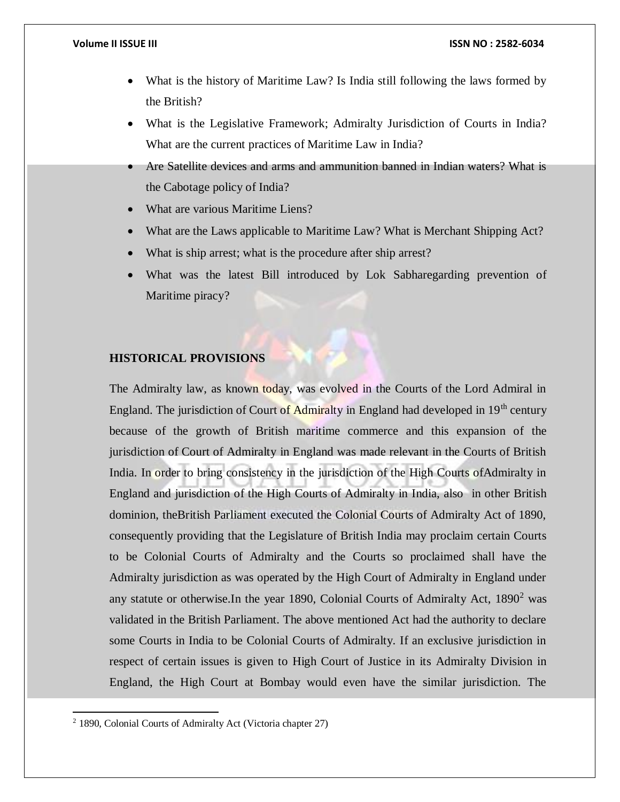- What is the history of Maritime Law? Is India still following the laws formed by the British?
- What is the Legislative Framework; Admiralty Jurisdiction of Courts in India? What are the current practices of Maritime Law in India?
- Are Satellite devices and arms and ammunition banned in Indian waters? What is the Cabotage policy of India?
- What are various Maritime Liens?
- What are the Laws applicable to Maritime Law? What is Merchant Shipping Act?
- What is ship arrest; what is the procedure after ship arrest?
- What was the latest Bill introduced by Lok Sabharegarding prevention of Maritime piracy?

# **HISTORICAL PROVISIONS**

The Admiralty law, as known today, was evolved in the Courts of the Lord Admiral in England. The jurisdiction of Court of Admiralty in England had developed in 19<sup>th</sup> century because of the growth of British maritime commerce and this expansion of the jurisdiction of Court of Admiralty in England was made relevant in the Courts of British India. In order to bring consistency in the jurisdiction of the High Courts ofAdmiralty in England and jurisdiction of the High Courts of Admiralty in India, also in other British dominion, theBritish Parliament executed the Colonial Courts of Admiralty Act of 1890, consequently providing that the Legislature of British India may proclaim certain Courts to be Colonial Courts of Admiralty and the Courts so proclaimed shall have the Admiralty jurisdiction as was operated by the High Court of Admiralty in England under any statute or otherwise.In the year 1890, Colonial Courts of Admiralty Act, 1890<sup>2</sup> was validated in the British Parliament. The above mentioned Act had the authority to declare some Courts in India to be Colonial Courts of Admiralty. If an exclusive jurisdiction in respect of certain issues is given to High Court of Justice in its Admiralty Division in England, the High Court at Bombay would even have the similar jurisdiction. The

<sup>2</sup> 1890, Colonial Courts of Admiralty Act (Victoria chapter 27)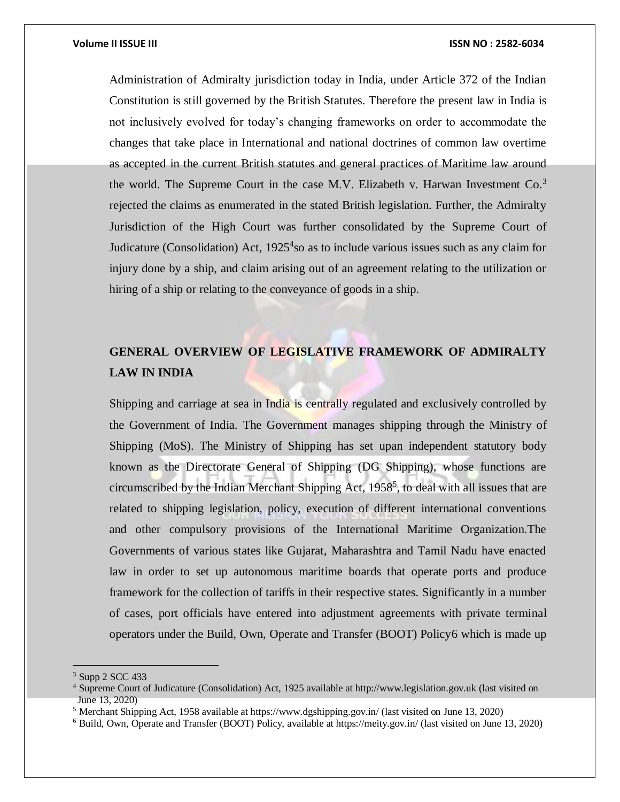Administration of Admiralty jurisdiction today in India, under Article 372 of the Indian Constitution is still governed by the British Statutes. Therefore the present law in India is not inclusively evolved for today's changing frameworks on order to accommodate the changes that take place in International and national doctrines of common law overtime as accepted in the current British statutes and general practices of Maritime law around the world. The Supreme Court in the case M.V. Elizabeth v. Harwan Investment  $Co^{3}$ rejected the claims as enumerated in the stated British legislation. Further, the Admiralty Jurisdiction of the High Court was further consolidated by the Supreme Court of Judicature (Consolidation) Act,  $1925<sup>4</sup>$  so as to include various issues such as any claim for injury done by a ship, and claim arising out of an agreement relating to the utilization or hiring of a ship or relating to the conveyance of goods in a ship.

# **GENERAL OVERVIEW OF LEGISLATIVE FRAMEWORK OF ADMIRALTY LAW IN INDIA**

Shipping and carriage at sea in India is centrally regulated and exclusively controlled by the Government of India. The Government manages shipping through the Ministry of Shipping (MoS). The Ministry of Shipping has set upan independent statutory body known as the Directorate General of Shipping (DG Shipping), whose functions are circumscribed by the Indian Merchant Shipping Act, 1958<sup>5</sup>, to deal with all issues that are related to shipping legislation, policy, execution of different international conventions and other compulsory provisions of the International Maritime Organization.The Governments of various states like Gujarat, Maharashtra and Tamil Nadu have enacted law in order to set up autonomous maritime boards that operate ports and produce framework for the collection of tariffs in their respective states. Significantly in a number of cases, port officials have entered into adjustment agreements with private terminal operators under the Build, Own, Operate and Transfer (BOOT) Policy6 which is made up

<sup>3</sup> Supp 2 SCC 433

<sup>4</sup> Supreme Court of Judicature (Consolidation) Act, 1925 available at http://www.legislation.gov.uk (last visited on June 13, 2020)

<sup>5</sup> Merchant Shipping Act, 1958 available at https://www.dgshipping.gov.in/ (last visited on June 13, 2020)

<sup>6</sup> Build, Own, Operate and Transfer (BOOT) Policy, available at https://meity.gov.in/ (last visited on June 13, 2020)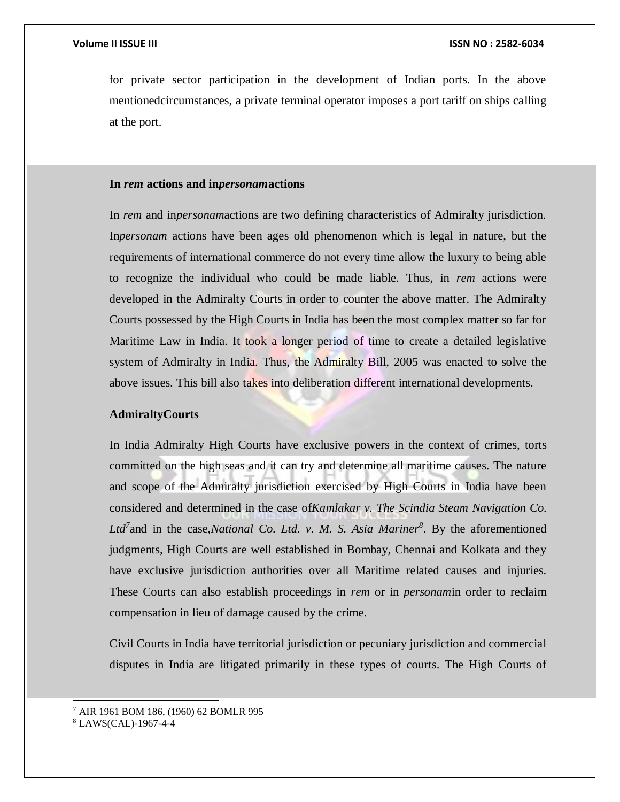for private sector participation in the development of Indian ports. In the above mentionedcircumstances, a private terminal operator imposes a port tariff on ships calling at the port.

### **In** *rem* **actions and in***personam***actions**

In *rem* and in*personam*actions are two defining characteristics of Admiralty jurisdiction. In*personam* actions have been ages old phenomenon which is legal in nature, but the requirements of international commerce do not every time allow the luxury to being able to recognize the individual who could be made liable. Thus, in *rem* actions were developed in the Admiralty Courts in order to counter the above matter. The Admiralty Courts possessed by the High Courts in India has been the most complex matter so far for Maritime Law in India. It took a longer period of time to create a detailed legislative system of Admiralty in India. Thus, the Admiralty Bill, 2005 was enacted to solve the above issues. This bill also takes into deliberation different international developments.

### **AdmiraltyCourts**

In India Admiralty High Courts have exclusive powers in the context of crimes, torts committed on the high seas and it can try and determine all maritime causes. The nature and scope of the Admiralty jurisdiction exercised by High Courts in India have been considered and determined in the case of*Kamlakar v. The Scindia Steam Navigation Co. Ltd<sup>7</sup>* and in the case,*National Co. Ltd. v. M. S. Asia Mariner<sup>8</sup>* . By the aforementioned judgments, High Courts are well established in Bombay, Chennai and Kolkata and they have exclusive jurisdiction authorities over all Maritime related causes and injuries. These Courts can also establish proceedings in *rem* or in *personam*in order to reclaim compensation in lieu of damage caused by the crime.

Civil Courts in India have territorial jurisdiction or pecuniary jurisdiction and commercial disputes in India are litigated primarily in these types of courts. The High Courts of

l

<sup>7</sup> AIR 1961 BOM 186, (1960) 62 BOMLR 995

<sup>8</sup> LAWS(CAL)-1967-4-4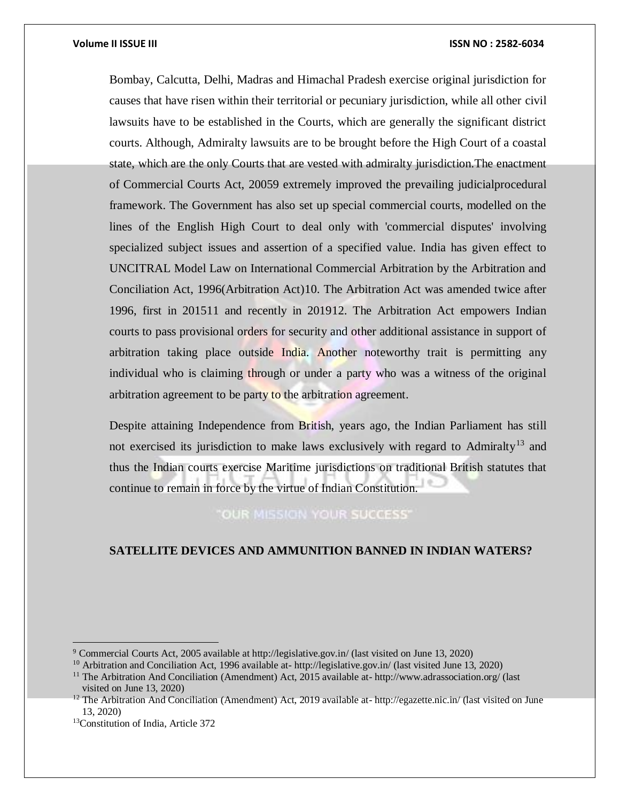Bombay, Calcutta, Delhi, Madras and Himachal Pradesh exercise original jurisdiction for causes that have risen within their territorial or pecuniary jurisdiction, while all other civil lawsuits have to be established in the Courts, which are generally the significant district courts. Although, Admiralty lawsuits are to be brought before the High Court of a coastal state, which are the only Courts that are vested with admiralty jurisdiction.The enactment of Commercial Courts Act, 20059 extremely improved the prevailing judicialprocedural framework. The Government has also set up special commercial courts, modelled on the lines of the English High Court to deal only with 'commercial disputes' involving specialized subject issues and assertion of a specified value. India has given effect to UNCITRAL Model Law on International Commercial Arbitration by the Arbitration and Conciliation Act, 1996(Arbitration Act)10. The Arbitration Act was amended twice after 1996, first in 201511 and recently in 201912. The Arbitration Act empowers Indian courts to pass provisional orders for security and other additional assistance in support of arbitration taking place outside India. Another noteworthy trait is permitting any individual who is claiming through or under a party who was a witness of the original arbitration agreement to be party to the arbitration agreement.

Despite attaining Independence from British, years ago, the Indian Parliament has still not exercised its jurisdiction to make laws exclusively with regard to Admiralty<sup>13</sup> and thus the Indian courts exercise Maritime jurisdictions on traditional British statutes that continue to remain in force by the virtue of Indian Constitution.

**OUR MISSION YOUR SUCCESS'** 

# **SATELLITE DEVICES AND AMMUNITION BANNED IN INDIAN WATERS?**

<sup>10</sup> Arbitration and Conciliation Act, 1996 available at- http://legislative.gov.in/ (last visited June 13, 2020)

<sup>9</sup> Commercial Courts Act, 2005 available at http://legislative.gov.in/ (last visited on June 13, 2020)

<sup>11</sup> The Arbitration And Conciliation (Amendment) Act, 2015 available at- http://www.adrassociation.org/ (last visited on June 13, 2020)

<sup>&</sup>lt;sup>12</sup> The Arbitration And Conciliation (Amendment) Act, 2019 available at- http://egazette.nic.in/ (last visited on June 13, 2020)

<sup>13</sup>Constitution of India, Article 372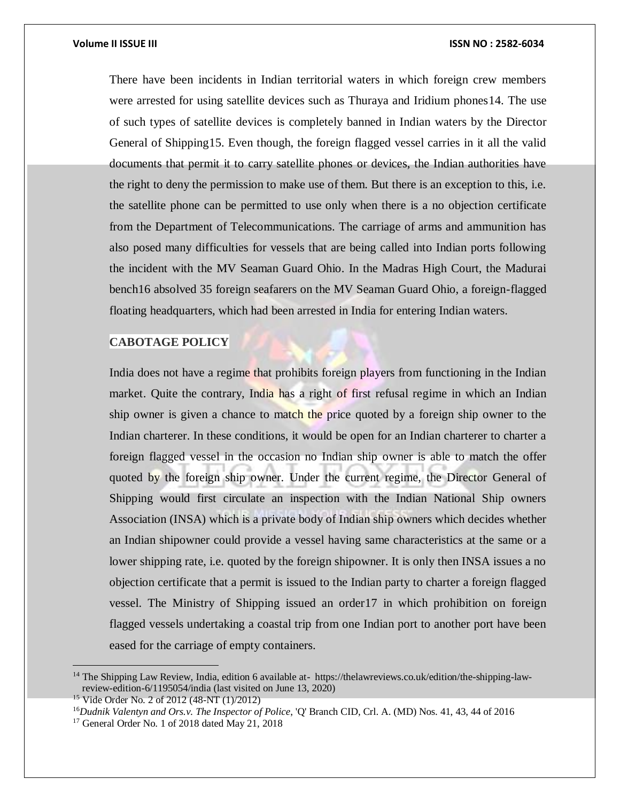There have been incidents in Indian territorial waters in which foreign crew members were arrested for using satellite devices such as Thuraya and Iridium phones14. The use of such types of satellite devices is completely banned in Indian waters by the Director General of Shipping15. Even though, the foreign flagged vessel carries in it all the valid documents that permit it to carry satellite phones or devices, the Indian authorities have the right to deny the permission to make use of them. But there is an exception to this, i.e. the satellite phone can be permitted to use only when there is a no objection certificate from the Department of Telecommunications. The carriage of arms and ammunition has also posed many difficulties for vessels that are being called into Indian ports following the incident with the MV Seaman Guard Ohio. In the Madras High Court, the Madurai bench16 absolved 35 foreign seafarers on the MV Seaman Guard Ohio, a foreign-flagged floating headquarters, which had been arrested in India for entering Indian waters.

# **CABOTAGE POLICY**

India does not have a regime that prohibits foreign players from functioning in the Indian market. Quite the contrary, India has a right of first refusal regime in which an Indian ship owner is given a chance to match the price quoted by a foreign ship owner to the Indian charterer. In these conditions, it would be open for an Indian charterer to charter a foreign flagged vessel in the occasion no Indian ship owner is able to match the offer quoted by the foreign ship owner. Under the current regime, the Director General of Shipping would first circulate an inspection with the Indian National Ship owners Association (INSA) which is a private body of Indian ship owners which decides whether an Indian shipowner could provide a vessel having same characteristics at the same or a lower shipping rate, i.e. quoted by the foreign shipowner. It is only then INSA issues a no objection certificate that a permit is issued to the Indian party to charter a foreign flagged vessel. The Ministry of Shipping issued an order17 in which prohibition on foreign flagged vessels undertaking a coastal trip from one Indian port to another port have been eased for the carriage of empty containers.

<sup>14</sup> The Shipping Law Review, India, edition 6 available at- https://thelawreviews.co.uk/edition/the-shipping-lawreview-edition-6/1195054/india (last visited on June 13, 2020)

<sup>&</sup>lt;sup>15</sup> Vide Order No. 2 of 2012 (48-NT (1)/2012)

<sup>16</sup>*Dudnik Valentyn and Ors.v. The Inspector of Police*, 'Q' Branch CID, Crl. A. (MD) Nos. 41, 43, 44 of 2016

<sup>&</sup>lt;sup>17</sup> General Order No. 1 of 2018 dated May 21, 2018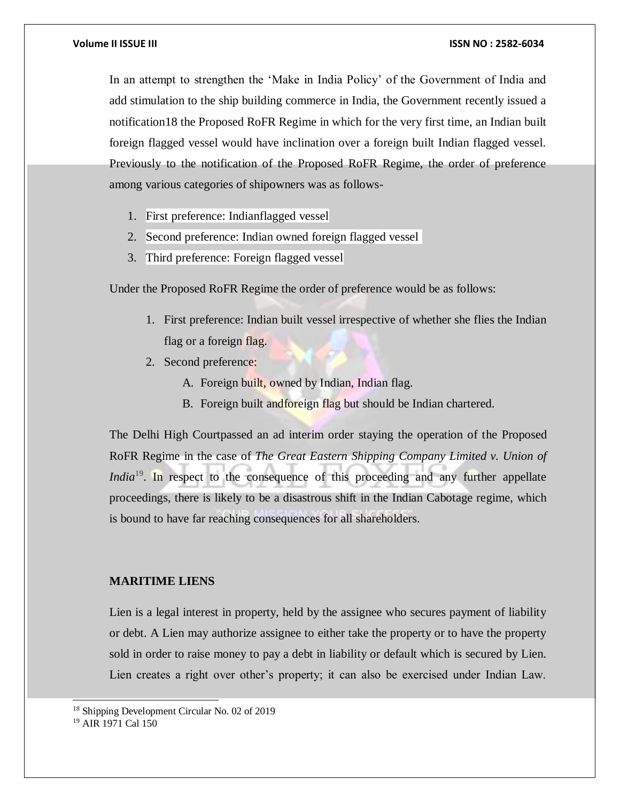In an attempt to strengthen the 'Make in India Policy' of the Government of India and add stimulation to the ship building commerce in India, the Government recently issued a notification18 the Proposed RoFR Regime in which for the very first time, an Indian built foreign flagged vessel would have inclination over a foreign built Indian flagged vessel. Previously to the notification of the Proposed RoFR Regime, the order of preference among various categories of shipowners was as follows-

- 1. First preference: Indianflagged vessel
- 2. Second preference: Indian owned foreign flagged vessel
- 3. Third preference: Foreign flagged vessel

Under the Proposed RoFR Regime the order of preference would be as follows:

- 1. First preference: Indian built vessel irrespective of whether she flies the Indian flag or a foreign flag.
- 2. Second preference:
	- A. Foreign built, owned by Indian, Indian flag.
	- B. Foreign built andforeign flag but should be Indian chartered.

The Delhi High Courtpassed an ad interim order staying the operation of the Proposed RoFR Regime in the case of *The Great Eastern Shipping Company Limited v. Union of India*<sup>19</sup>. In respect to the consequence of this proceeding and any further appellate proceedings, there is likely to be a disastrous shift in the Indian Cabotage regime, which is bound to have far reaching consequences for all shareholders.

# **MARITIME LIENS**

Lien is a legal interest in property, held by the assignee who secures payment of liability or debt. A Lien may authorize assignee to either take the property or to have the property sold in order to raise money to pay a debt in liability or default which is secured by Lien. Lien creates a right over other's property; it can also be exercised under Indian Law.

<sup>18</sup> Shipping Development Circular No. 02 of 2019

<sup>19</sup> AIR 1971 Cal 150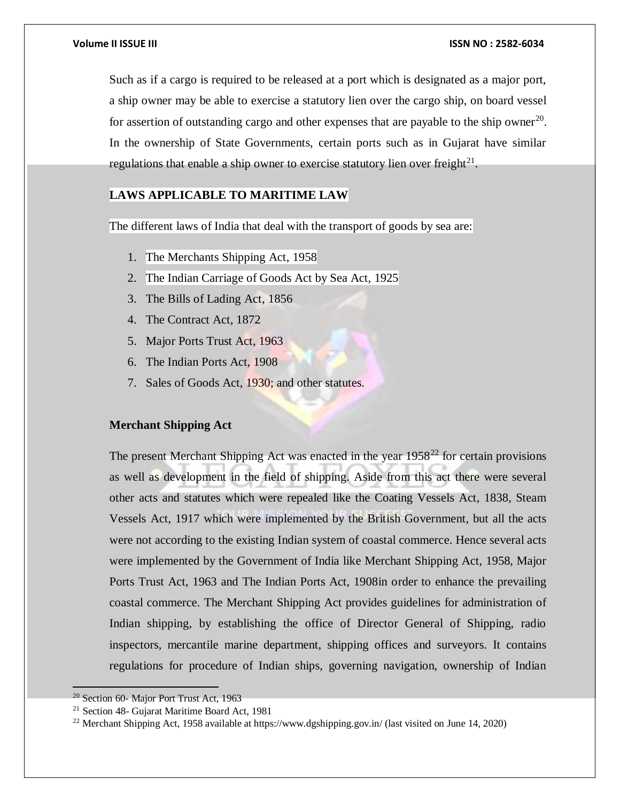Such as if a cargo is required to be released at a port which is designated as a major port, a ship owner may be able to exercise a statutory lien over the cargo ship, on board vessel for assertion of outstanding cargo and other expenses that are payable to the ship owner<sup>20</sup>. In the ownership of State Governments, certain ports such as in Gujarat have similar regulations that enable a ship owner to exercise statutory lien over freight $^{21}$ .

# **LAWS APPLICABLE TO MARITIME LAW**

The different laws of India that deal with the transport of goods by sea are:

- 1. The Merchants Shipping Act, 1958
- 2. The Indian Carriage of Goods Act by Sea Act, 1925
- 3. The Bills of Lading Act, 1856
- 4. The Contract Act, 1872
- 5. Major Ports Trust Act, 1963
- 6. The Indian Ports Act, 1908
- 7. Sales of Goods Act, 1930; and other statutes.

# **Merchant Shipping Act**

The present Merchant Shipping Act was enacted in the year  $1958<sup>22</sup>$  for certain provisions as well as development in the field of shipping. Aside from this act there were several other acts and statutes which were repealed like the Coating Vessels Act, 1838, Steam Vessels Act, 1917 which were implemented by the British Government, but all the acts were not according to the existing Indian system of coastal commerce. Hence several acts were implemented by the Government of India like Merchant Shipping Act, 1958, Major Ports Trust Act, 1963 and The Indian Ports Act, 1908in order to enhance the prevailing coastal commerce. The Merchant Shipping Act provides guidelines for administration of Indian shipping, by establishing the office of Director General of Shipping, radio inspectors, mercantile marine department, shipping offices and surveyors. It contains regulations for procedure of Indian ships, governing navigation, ownership of Indian

<sup>20</sup> Section 60- Major Port Trust Act, 1963

<sup>21</sup> Section 48- Gujarat Maritime Board Act, 1981

<sup>22</sup> Merchant Shipping Act, 1958 available at https://www.dgshipping.gov.in/ (last visited on June 14, 2020)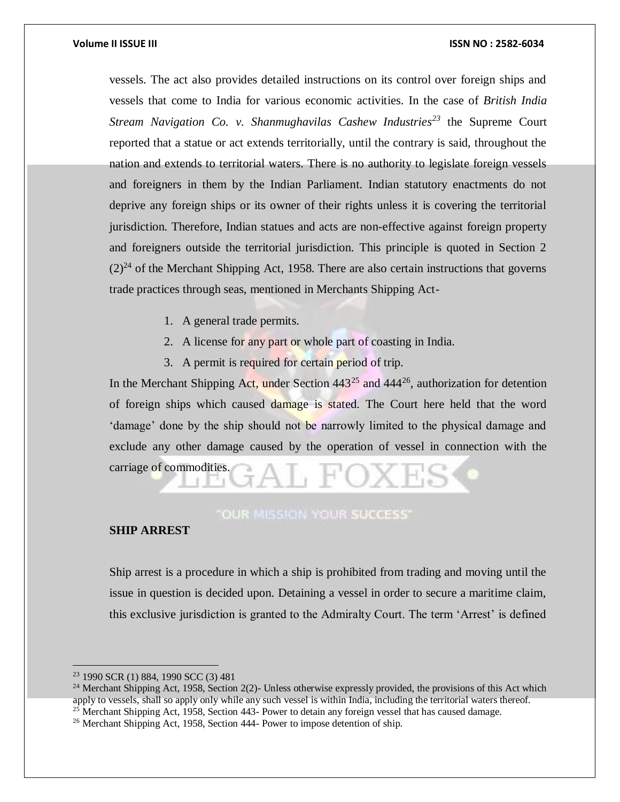vessels. The act also provides detailed instructions on its control over foreign ships and vessels that come to India for various economic activities. In the case of *British India Stream Navigation Co. v. Shanmughavilas Cashew Industries<sup>23</sup>* the Supreme Court reported that a statue or act extends territorially, until the contrary is said, throughout the nation and extends to territorial waters. There is no authority to legislate foreign vessels and foreigners in them by the Indian Parliament. Indian statutory enactments do not deprive any foreign ships or its owner of their rights unless it is covering the territorial jurisdiction. Therefore, Indian statues and acts are non-effective against foreign property and foreigners outside the territorial jurisdiction. This principle is quoted in Section 2  $(2)^{24}$  of the Merchant Shipping Act, 1958. There are also certain instructions that governs trade practices through seas, mentioned in Merchants Shipping Act-

- 1. A general trade permits.
- 2. A license for any part or whole part of coasting in India.
- 3. A permit is required for certain period of trip.

In the Merchant Shipping Act, under Section  $443^{25}$  and  $444^{26}$ , authorization for detention of foreign ships which caused damage is stated. The Court here held that the word 'damage' done by the ship should not be narrowly limited to the physical damage and exclude any other damage caused by the operation of vessel in connection with the carriage of commodities.

# **OUR MISSION YOUR SUCCESS'**

# **SHIP ARREST**

Ship arrest is a procedure in which a ship is prohibited from trading and moving until the issue in question is decided upon. Detaining a vessel in order to secure a maritime claim, this exclusive jurisdiction is granted to the Admiralty Court. The term 'Arrest' is defined

<sup>23</sup> 1990 SCR (1) 884, 1990 SCC (3) 481

<sup>&</sup>lt;sup>24</sup> Merchant Shipping Act, 1958, Section 2(2)- Unless otherwise expressly provided, the provisions of this Act which apply to vessels, shall so apply only while any such vessel is within India, including the territorial waters thereof.

 $25$  Merchant Shipping Act, 1958, Section 443- Power to detain any foreign vessel that has caused damage.

<sup>26</sup> Merchant Shipping Act, 1958, Section 444- Power to impose detention of ship.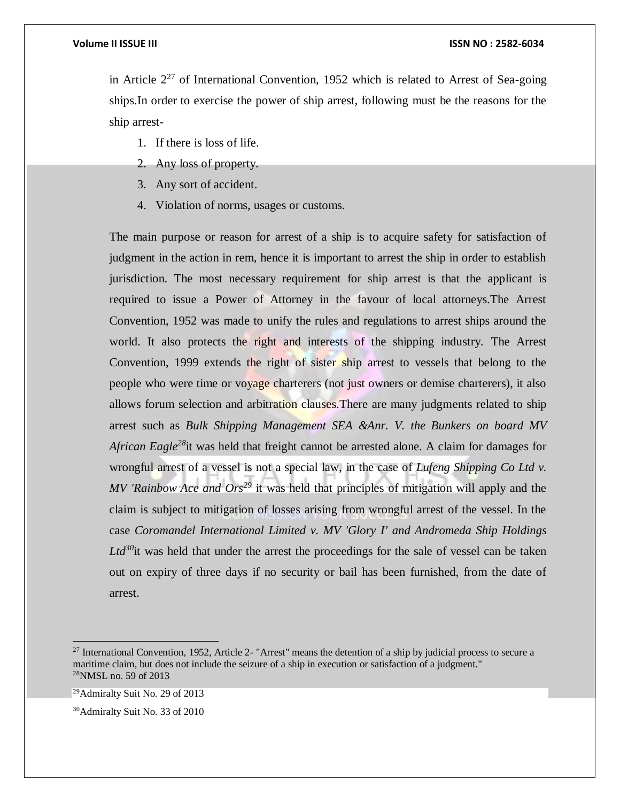in Article  $2^{27}$  of International Convention, 1952 which is related to Arrest of Sea-going ships.In order to exercise the power of ship arrest, following must be the reasons for the ship arrest-

- 1. If there is loss of life.
- 2. Any loss of property.
- 3. Any sort of accident.
- 4. Violation of norms, usages or customs.

The main purpose or reason for arrest of a ship is to acquire safety for satisfaction of judgment in the action in rem, hence it is important to arrest the ship in order to establish jurisdiction. The most necessary requirement for ship arrest is that the applicant is required to issue a Power of Attorney in the favour of local attorneys.The Arrest Convention, 1952 was made to unify the rules and regulations to arrest ships around the world. It also protects the right and interests of the shipping industry. The Arrest Convention, 1999 extends the right of sister ship arrest to vessels that belong to the people who were time or voyage charterers (not just owners or demise charterers), it also allows forum selection and arbitration clauses. There are many judgments related to ship arrest such as *Bulk Shipping Management SEA &Anr. V. the Bunkers on board MV African Eagle<sup>28</sup>*it was held that freight cannot be arrested alone. A claim for damages for wrongful arrest of a vessel is not a special law, in the case of *Lufeng Shipping Co Ltd v. MV 'Rainbow Ace and Ors<sup>29</sup>* it was held that principles of mitigation will apply and the claim is subject to mitigation of losses arising from wrongful arrest of the vessel. In the case *Coromandel International Limited v. MV 'Glory I' and Andromeda Ship Holdings Ltd<sup>30</sup>*it was held that under the arrest the proceedings for the sale of vessel can be taken out on expiry of three days if no security or bail has been furnished, from the date of arrest.

<sup>&</sup>lt;sup>27</sup> International Convention, 1952, Article 2- "Arrest" means the detention of a ship by judicial process to secure a maritime claim, but does not include the seizure of a ship in execution or satisfaction of a judgment." <sup>28</sup>NMSL no. 59 of 2013

<sup>29</sup>Admiralty Suit No. 29 of 2013

<sup>30</sup>Admiralty Suit No. 33 of 2010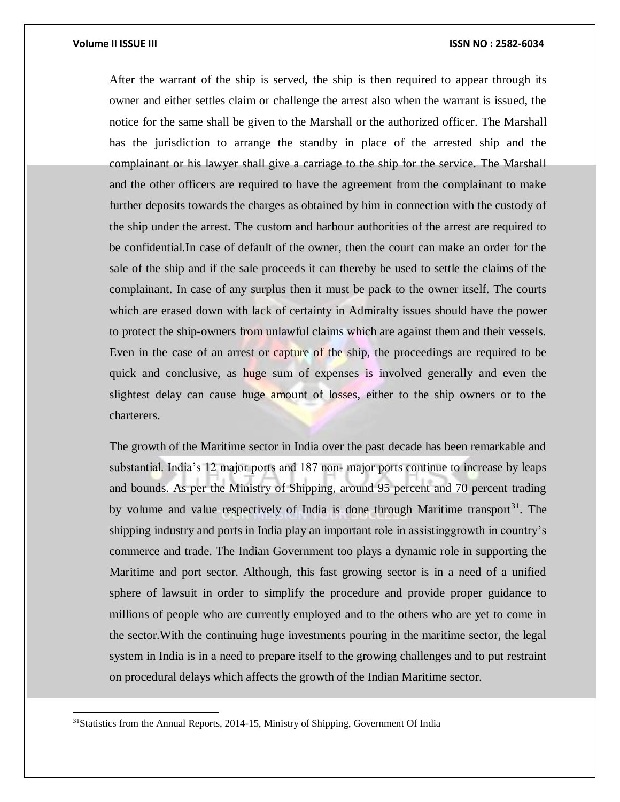$\overline{a}$ 

After the warrant of the ship is served, the ship is then required to appear through its owner and either settles claim or challenge the arrest also when the warrant is issued, the notice for the same shall be given to the Marshall or the authorized officer. The Marshall has the jurisdiction to arrange the standby in place of the arrested ship and the complainant or his lawyer shall give a carriage to the ship for the service. The Marshall and the other officers are required to have the agreement from the complainant to make further deposits towards the charges as obtained by him in connection with the custody of the ship under the arrest. The custom and harbour authorities of the arrest are required to be confidential.In case of default of the owner, then the court can make an order for the sale of the ship and if the sale proceeds it can thereby be used to settle the claims of the complainant. In case of any surplus then it must be pack to the owner itself. The courts which are erased down with lack of certainty in Admiralty issues should have the power to protect the ship-owners from unlawful claims which are against them and their vessels. Even in the case of an arrest or capture of the ship, the proceedings are required to be quick and conclusive, as huge sum of expenses is involved generally and even the slightest delay can cause huge amount of losses, either to the ship owners or to the charterers.

The growth of the Maritime sector in India over the past decade has been remarkable and substantial. India's 12 major ports and 187 non- major ports continue to increase by leaps and bounds. As per the Ministry of Shipping, around 95 percent and 70 percent trading by volume and value respectively of India is done through Maritime transport<sup>31</sup>. The shipping industry and ports in India play an important role in assistinggrowth in country's commerce and trade. The Indian Government too plays a dynamic role in supporting the Maritime and port sector. Although, this fast growing sector is in a need of a unified sphere of lawsuit in order to simplify the procedure and provide proper guidance to millions of people who are currently employed and to the others who are yet to come in the sector.With the continuing huge investments pouring in the maritime sector, the legal system in India is in a need to prepare itself to the growing challenges and to put restraint on procedural delays which affects the growth of the Indian Maritime sector.

<sup>&</sup>lt;sup>31</sup>Statistics from the Annual Reports, 2014-15, Ministry of Shipping, Government Of India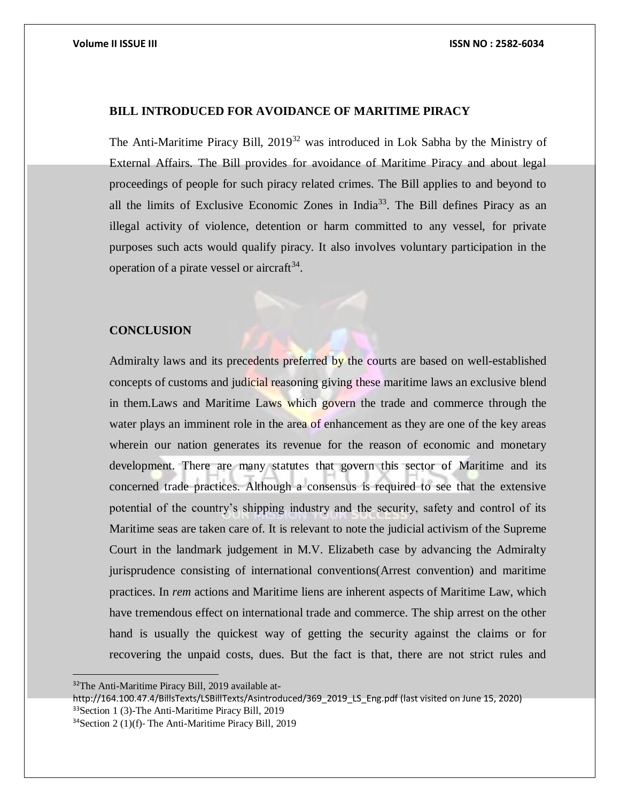# **BILL INTRODUCED FOR AVOIDANCE OF MARITIME PIRACY**

The Anti-Maritime Piracy Bill, 2019<sup>32</sup> was introduced in Lok Sabha by the Ministry of External Affairs. The Bill provides for avoidance of Maritime Piracy and about legal proceedings of people for such piracy related crimes. The Bill applies to and beyond to all the limits of Exclusive Economic Zones in India<sup>33</sup>. The Bill defines Piracy as an illegal activity of violence, detention or harm committed to any vessel, for private purposes such acts would qualify piracy. It also involves voluntary participation in the operation of a pirate vessel or aircraft $34$ .

### **CONCLUSION**

Admiralty laws and its precedents preferred by the courts are based on well-established concepts of customs and judicial reasoning giving these maritime laws an exclusive blend in them.Laws and Maritime Laws which govern the trade and commerce through the water plays an imminent role in the area of enhancement as they are one of the key areas wherein our nation generates its revenue for the reason of economic and monetary development. There are many statutes that govern this sector of Maritime and its concerned trade practices. Although a consensus is required to see that the extensive potential of the country's shipping industry and the security, safety and control of its Maritime seas are taken care of. It is relevant to note the judicial activism of the Supreme Court in the landmark judgement in M.V. Elizabeth case by advancing the Admiralty jurisprudence consisting of international conventions(Arrest convention) and maritime practices. In *rem* actions and Maritime liens are inherent aspects of Maritime Law, which have tremendous effect on international trade and commerce. The ship arrest on the other hand is usually the quickest way of getting the security against the claims or for recovering the unpaid costs, dues. But the fact is that, there are not strict rules and

<sup>32</sup>The Anti-Maritime Piracy Bill, 2019 available at-

http://164.100.47.4/BillsTexts/LSBillTexts/Asintroduced/369\_2019\_LS\_Eng.pdf (last visited on June 15, 2020) <sup>33</sup>Section 1 (3)-The Anti-Maritime Piracy Bill, 2019

<sup>34</sup>Section 2 (1)(f)- The Anti-Maritime Piracy Bill, 2019